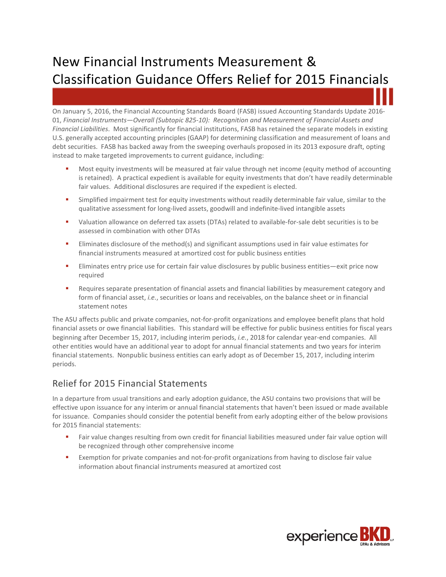# New Financial Instruments Measurement & Classification Guidance Offers Relief for 2015 Financials

On January 5, 2016, the Financial Accounting Standards Board (FASB) issued Accounting Standards Update 2016- 01, *Financial Instruments—Overall (Subtopic 825-10): Recognition and Measurement of Financial Assets and Financial Liabilities*. Most significantly for financial institutions, FASB has retained the separate models in existing U.S. generally accepted accounting principles (GAAP) for determining classification and measurement of loans and debt securities. FASB has backed away from the sweeping overhauls proposed in its 2013 exposure draft, opting instead to make targeted improvements to current guidance, including:

- Most equity investments will be measured at fair value through net income (equity method of accounting is retained). A practical expedient is available for equity investments that don't have readily determinable fair values. Additional disclosures are required if the expedient is elected.
- **Simplified impairment test for equity investments without readily determinable fair value, similar to the** qualitative assessment for long-lived assets, goodwill and indefinite-lived intangible assets
- Valuation allowance on deferred tax assets (DTAs) related to available-for-sale debt securities is to be assessed in combination with other DTAs
- **Eliminates disclosure of the method(s) and significant assumptions used in fair value estimates for** financial instruments measured at amortized cost for public business entities
- **Eliminates entry price use for certain fair value disclosures by public business entities—exit price now** required
- **EXECUTE:** Requires separate presentation of financial assets and financial liabilities by measurement category and form of financial asset, *i.e.*, securities or loans and receivables, on the balance sheet or in financial statement notes

The ASU affects public and private companies, not-for-profit organizations and employee benefit plans that hold financial assets or owe financial liabilities. This standard will be effective for public business entities for fiscal years beginning after December 15, 2017, including interim periods, *i.e.*, 2018 for calendar year-end companies. All other entities would have an additional year to adopt for annual financial statements and two years for interim financial statements. Nonpublic business entities can early adopt as of December 15, 2017, including interim periods.

## Relief for 2015 Financial Statements

In a departure from usual transitions and early adoption guidance, the ASU contains two provisions that will be effective upon issuance for any interim or annual financial statements that haven't been issued or made available for issuance. Companies should consider the potential benefit from early adopting either of the below provisions for 2015 financial statements:

- Fair value changes resulting from own credit for financial liabilities measured under fair value option will be recognized through other comprehensive income
- Exemption for private companies and not-for-profit organizations from having to disclose fair value information about financial instruments measured at amortized cost